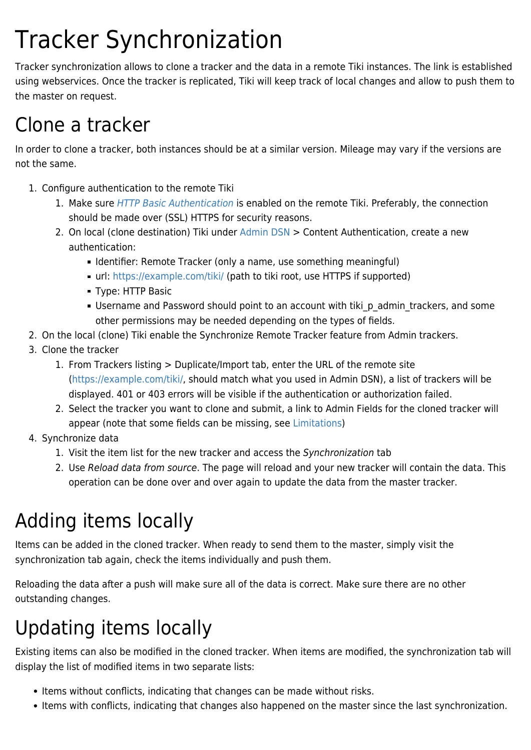# Tracker Synchronization

Tracker synchronization allows to clone a tracker and the data in a remote Tiki instances. The link is established using webservices. Once the tracker is replicated, Tiki will keep track of local changes and allow to push them to the master on request.

#### Clone a tracker

In order to clone a tracker, both instances should be at a similar version. Mileage may vary if the versions are not the same.

- 1. Configure authentication to the remote Tiki
	- 1. Make sure [HTTP Basic Authentication](https://doc.tiki.org/External-Authentication#Web_Server_HTTP_) is enabled on the remote Tiki. Preferably, the connection should be made over (SSL) HTTPS for security reasons.
	- 2. On local (clone destination) Tiki under [Admin DSN](https://doc.tiki.org/Admin-DSN) > Content Authentication, create a new authentication:
		- **I** Identifier: Remote Tracker (only a name, use something meaningful)
		- url: <https://example.com/tiki/>(path to tiki root, use HTTPS if supported)
		- Type: HTTP Basic
		- Username and Password should point to an account with tiki\_p\_admin\_trackers, and some other permissions may be needed depending on the types of fields.
- 2. On the local (clone) Tiki enable the Synchronize Remote Tracker feature from Admin trackers.
- 3. Clone the tracker
	- 1. From Trackers listing > Duplicate/Import tab, enter the URL of the remote site (<https://example.com/tiki/>, should match what you used in Admin DSN), a list of trackers will be displayed. 401 or 403 errors will be visible if the authentication or authorization failed.
	- 2. Select the tracker you want to clone and submit, a link to Admin Fields for the cloned tracker will appear (note that some fields can be missing, see [Limitations](#page--1-0))
- 4. Synchronize data
	- 1. Visit the item list for the new tracker and access the Synchronization tab
	- 2. Use Reload data from source. The page will reload and your new tracker will contain the data. This operation can be done over and over again to update the data from the master tracker.

### Adding items locally

Items can be added in the cloned tracker. When ready to send them to the master, simply visit the synchronization tab again, check the items individually and push them.

Reloading the data after a push will make sure all of the data is correct. Make sure there are no other outstanding changes.

## Updating items locally

Existing items can also be modified in the cloned tracker. When items are modified, the synchronization tab will display the list of modified items in two separate lists:

- Items without conflicts, indicating that changes can be made without risks.
- Items with conflicts, indicating that changes also happened on the master since the last synchronization.